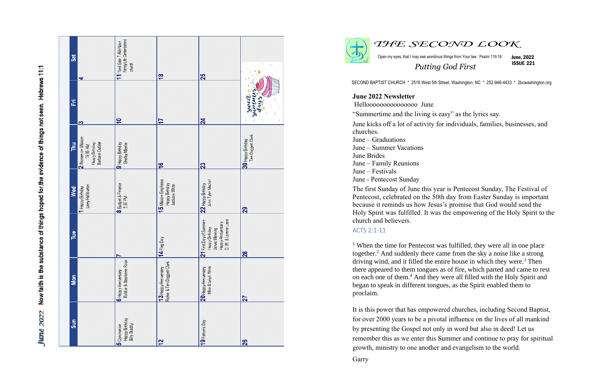Now faith is the substance of things hoped for, the evidence of things not seen. Hebrews 11:1 **June 2022** 

| Jat<br>4                                     | Family Life Center behind<br>11 Yard Sale 7 AM-Noon<br>church                | $\frac{8}{5}$                                                | 25                                                                                                           |                                         |
|----------------------------------------------|------------------------------------------------------------------------------|--------------------------------------------------------------|--------------------------------------------------------------------------------------------------------------|-----------------------------------------|
| E<br>S                                       | $\overline{ }$                                                               | 17                                                           | $\overline{24}$                                                                                              | inninis<br><b>Sweet</b><br>days.        |
| 2 Women on Mssion<br>Pu<br>F<br>10:00 AM     | Barbara Outlaw<br>9 Happy Birthday<br><b>Happy Birthday</b><br>Shelby Mzelle | $\frac{6}{16}$                                               | 23                                                                                                           | Teri Doggett Clark<br>30 Happy Birthday |
| Larry Halliburton<br>1 Happy Birthday<br>Wed | <b>8</b> Budget & Finance<br>5:30 PM                                         | 15 Mssion Emphasis<br><b>Happy Birthday</b><br>Jackson White | John Tyler Mackel<br>22 Happy Birthday                                                                       | 29                                      |
| Tue                                          |                                                                              | 14 Flag Day                                                  | D. W. & Lorene Lane<br>21 First Day of Summer<br>Happy Anniversary<br>Happy Brthday<br><b>Jarvis Manning</b> | $\frac{28}{2}$                          |
| Mon                                          | Robbie & Stephanie Rose<br>6 Happy Anniversary                               | Richie & Teri Doggett Clark<br>13 Happy Anniversary          | Mke & Leigh White<br>20 Happy Anniversary                                                                    | 27                                      |
| Sun                                          | Happy Birthday<br>Billy Bradd y<br>5 Communion                               | 12                                                           | 19 Father's Day                                                                                              | 26                                      |





Open my eyes, that I may see wondrous things from Your law. Psalm 119:18 June, 2022

*THE SECOND LOOK*

ISSUE 221

*Putting God First*

SECOND BAPTIST CHURCH \* 2516 West 5th Street, Washington, NC \* 252-946-4433 \* 2bcwashington.org

June kicks off a lot of activity for individuals, families, businesses, and

**June 2022 Newsletter** Hellooooooooooooooo June "Summertime and the living is easy" as the lyrics say. churches. June – Graduations June – Summer Vacations June Brides June – Family Reunions June – Festivals June - Pentecost Sunday

 $1$  When the time for Pentecost was fulfilled, they were all in one place together.<sup>2</sup> And suddenly there came from the sky a noise like a strong driving wind, and it filled the entire house in which they were. <sup>3</sup> Then there appeared to them tongues as of fire, which parted and came to rest on each one of them.<sup>4</sup> And they were all filled with the Holy Spirit and began to speak in different tongues, as the Spirit enabled them to proclaim.

The first Sunday of June this year is Pentecost Sunday, The Festival of Pentecost, celebrated on the 50th day from Easter Sunday is important because it reminds us how Jesus's promise that God would send the Holy Spirit was fulfilled. It was the empowering of the Holy Spirit to the church and believers.

## ACTS 2:1-11

It is this power that has empowered churches, including Second Baptist, for over 2000 years to be a pivotal influence on the lives of all mankind by presenting the Gospel not only in word but also in deed! Let us remember this as we enter this Summer and continue to pray for spiritual growth, ministry to one another and evangelism to the world.

Garry